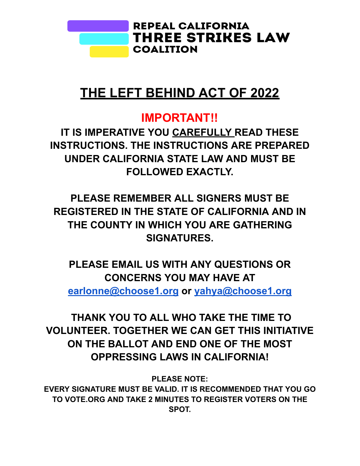

# **7+E /E)7 BE+,1D AC7 2) 2022**

## **IMPO57AN7!!**

**IT IS IMPERATIVE YOU CAREFULLY READ THESE INSTRUCTIONS. THE INSTRUCTIONS ARE PREPARED UNDER CALIFORNIA STATE LAW AND MUST BE FOLLOWED EXACTLY.**

**PLEASE REMEMBER ALL SIGNERS MUST BE REGISTERED IN THE STATE OF CALIFORNIA AND IN THE COUNTY IN WHICH YOU ARE GATHERING SIGNATURES.**

**PLEASE EMAIL US WITH ANY QUESTIONS OR CONCERNS YOU MAY HAVE AT**

**earlonne@choose1.org or vahva@choose1.org** 

**THANK YOU TO ALL WHO TAKE THE TIME TO VOLUNTEER. TOGETHER WE CAN GET THIS INITIATIVE ON THE BALLOT AND END ONE OF THE MOST OPPRESSING LAWS IN CALIFORNIA!**

**3LEA6E 127E: E9E5< 6IG1A785E M867 BE 9ALID. I7 I6 5EC2MME1DED 7HA7 <28 G2 72 927E.25G A1D 7AKE 2 MI187E6 72 5EGI67E5 927E56 21 7HE 6327.**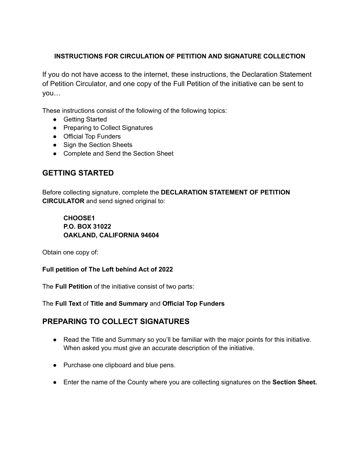#### INSTRUCTIONS FOR CIRCULATION OF PETITION AND SIGNATURE COLLECTION

If you do not have access to the internet, these instructions, the Declaration Statement of Petition Circulator, and one copy of the Full Petition of the initiative can be sent to you...

These instructions consist of the following of the following topics:

- Getting Started
- Preparing to Collect Signatures
- Official Top Funders
- Sign the Section Sheets
- Complete and Send the Section Sheet

## **GETTING STARTED**

Before collecting signature, complete the DECLARATION STATEMENT OF PETITION **CIRCULATOR** and send signed original to:

#### CHOOSE1 P.O. BOX 31022 OAKLAND, CALIFORNIA 94604

Obtain one copy of:

#### Full petition of The Left behind Act of 2022

The Full Petition of the initiative consist of two parts:

#### The Full Text of Title and Summary and Official Top Funders

### **PREPARING TO COLLECT SIGNATURES**

- Read the Title and Summary so you'll be familiar with the major points for this initiative. When asked you must give an accurate description of the initiative.
- Purchase one clipboard and blue pens.
- Enter the name of the County where you are collecting signatures on the Section Sheet.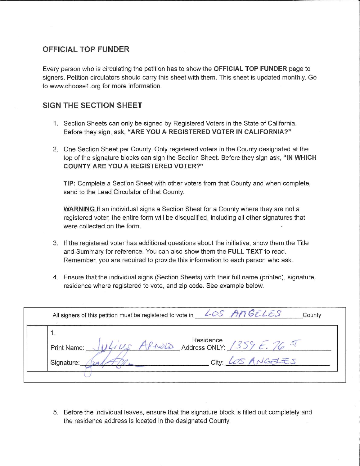#### **OFFICIAL TOP FUNDER**

Every person who is circulating the petition has to show the OFFICIAL TOP FUNDER page to signers. Petition circulators should carry this sheet with them. This sheet is updated monthly. Go to www.choose1.org for more information.

#### SIGN THE SECTION SHEET

- 1. Section Sheets can only be signed by Registered Voters in the State of California. Before they sign, ask, "ARE YOU A REGISTERED VOTER IN CALIFORNIA?"
- 2. One Section Sheet per County. Only registered voters in the County designated at the top of the signature blocks can sign the Section Sheet. Before they sign ask, "IN WHICH **COUNTY ARE YOU A REGISTERED VOTER?"**

TIP: Complete a Section Sheet with other voters from that County and when complete, send to the Lead Circulator of that County.

**WARNING** If an individual signs a Section Sheet for a County where they are not a registered voter, the entire form will be disgualified, including all other signatures that were collected on the form.

- 3. If the registered voter has additional questions about the initiative, show them the Title and Summary for reference. You can also show them the FULL TEXT to read. Remember, you are required to provide this information to each person who ask.
- 4. Ensure that the individual signs (Section Sheets) with their full name (printed), signature, residence where registered to vote, and zip code. See example below.

| Print Name: | 14105 |  | Residence<br>ARNOLD Address ONLY: 1359 E. 76 51 |  |
|-------------|-------|--|-------------------------------------------------|--|
| Signature:  |       |  | City: LOS ANGELES                               |  |

5. Before the individual leaves, ensure that the signature block is filled out completely and the residence address is located in the designated County.